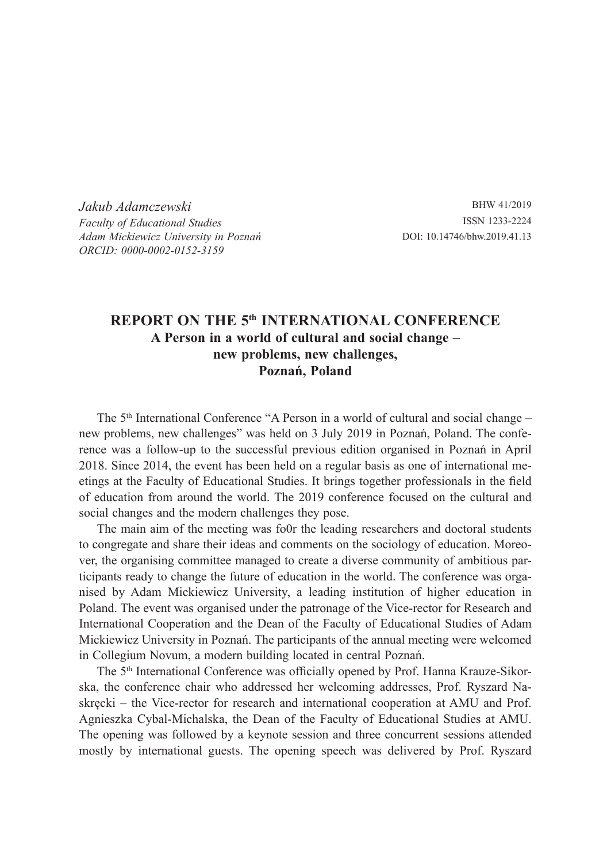*Jakub Adamczewski Faculty of Educational Studies Adam Mickiewicz University in Poznań ORCID: 0000-0002-0152-3159*

BHW 41/2019 ISSN 1233-2224 DOI: 10.14746/bhw.2019.41.13

## **REPORT ON THE 5th INTERNATIONAL CONFERENCE A Person in a world of cultural and social change – new problems, new challenges, Poznań, Poland**

The 5<sup>th</sup> International Conference "A Person in a world of cultural and social change – new problems, new challenges" was held on 3 July 2019 in Poznań, Poland. The conference was a follow-up to the successful previous edition organised in Poznań in April 2018. Since 2014, the event has been held on a regular basis as one of international meetings at the Faculty of Educational Studies. It brings together professionals in the field of education from around the world. The 2019 conference focused on the cultural and social changes and the modern challenges they pose.

The main aim of the meeting was fo0r the leading researchers and doctoral students to congregate and share their ideas and comments on the sociology of education. Moreover, the organising committee managed to create a diverse community of ambitious participants ready to change the future of education in the world. The conference was organised by Adam Mickiewicz University, a leading institution of higher education in Poland. The event was organised under the patronage of the Vice-rector for Research and International Cooperation and the Dean of the Faculty of Educational Studies of Adam Mickiewicz University in Poznań. The participants of the annual meeting were welcomed in Collegium Novum, a modern building located in central Poznań.

The 5<sup>th</sup> International Conference was officially opened by Prof. Hanna Krauze-Sikorska, the conference chair who addressed her welcoming addresses, Prof. Ryszard Naskręcki – the Vice-rector for research and international cooperation at AMU and Prof. Agnieszka Cybal-Michalska, the Dean of the Faculty of Educational Studies at AMU. The opening was followed by a keynote session and three concurrent sessions attended mostly by international guests. The opening speech was delivered by Prof. Ryszard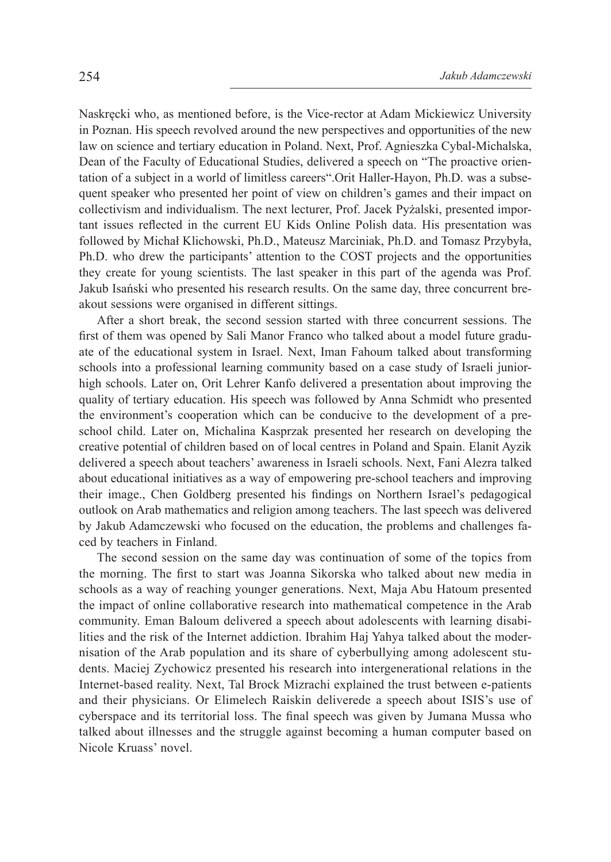Naskręcki who, as mentioned before, is the Vice-rector at Adam Mickiewicz University in Poznan. His speech revolved around the new perspectives and opportunities of the new law on science and tertiary education in Poland. Next, Prof. Agnieszka Cybal-Michalska, Dean of the Faculty of Educational Studies, delivered a speech on "The proactive orientation of a subject in a world of limitless careers".Orit Haller-Hayon, Ph.D. was a subsequent speaker who presented her point of view on children's games and their impact on collectivism and individualism. The next lecturer, Prof. Jacek Pyżalski, presented important issues reflected in the current EU Kids Online Polish data. His presentation was followed by Michał Klichowski, Ph.D., Mateusz Marciniak, Ph.D. and Tomasz Przybyła, Ph.D. who drew the participants' attention to the COST projects and the opportunities they create for young scientists. The last speaker in this part of the agenda was Prof. Jakub Isański who presented his research results. On the same day, three concurrent breakout sessions were organised in different sittings.

After a short break, the second session started with three concurrent sessions. The first of them was opened by Sali Manor Franco who talked about a model future graduate of the educational system in Israel. Next, Iman Fahoum talked about transforming schools into a professional learning community based on a case study of Israeli juniorhigh schools. Later on, Orit Lehrer Kanfo delivered a presentation about improving the quality of tertiary education. His speech was followed by Anna Schmidt who presented the environment's cooperation which can be conducive to the development of a preschool child. Later on, Michalina Kasprzak presented her research on developing the creative potential of children based on of local centres in Poland and Spain. Elanit Ayzik delivered a speech about teachers' awareness in Israeli schools. Next, Fani Alezra talked about educational initiatives as a way of empowering pre-school teachers and improving their image., Chen Goldberg presented his findings on Northern Israel's pedagogical outlook on Arab mathematics and religion among teachers. The last speech was delivered by Jakub Adamczewski who focused on the education, the problems and challenges faced by teachers in Finland.

The second session on the same day was continuation of some of the topics from the morning. The first to start was Joanna Sikorska who talked about new media in schools as a way of reaching younger generations. Next, Maja Abu Hatoum presented the impact of online collaborative research into mathematical competence in the Arab community. Eman Baloum delivered a speech about adolescents with learning disabilities and the risk of the Internet addiction. Ibrahim Haj Yahya talked about the modernisation of the Arab population and its share of cyberbullying among adolescent students. Maciej Zychowicz presented his research into intergenerational relations in the Internet-based reality. Next, Tal Brock Mizrachi explained the trust between e-patients and their physicians. Or Elimelech Raiskin deliverede a speech about ISIS's use of cyberspace and its territorial loss. The final speech was given by Jumana Mussa who talked about illnesses and the struggle against becoming a human computer based on Nicole Kruass' novel.